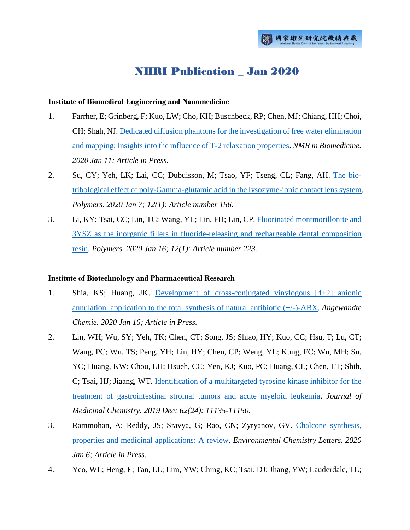# NHRI Publication \_ Jan 2020

## **Institute of Biomedical Engineering and Nanomedicine**

- 1. Farrher, E; Grinberg, F; Kuo, LW; Cho, KH; Buschbeck, RP; Chen, MJ; Chiang, HH; Choi, CH; Shah, NJ[. Dedicated diffusion phantoms for the investigation of free water elimination](http://ir.nhri.org.tw/handle/3990099045/12491)  [and mapping: Insights into the influence of T-2 relaxation properties.](http://ir.nhri.org.tw/handle/3990099045/12491) *NMR in Biomedicine. 2020 Jan 11; Article in Press.*
- 2. Su, CY; Yeh, LK; Lai, CC; Dubuisson, M; Tsao, YF; Tseng, CL; Fang, AH. [The bio](http://ir.nhri.org.tw/handle/3990099045/12489)[tribological effect of poly-Gamma-glutamic acid in the lysozyme-ionic contact lens system.](http://ir.nhri.org.tw/handle/3990099045/12489) *Polymers. 2020 Jan 7; 12(1): Article number 156.*
- 3. Li, KY; Tsai, CC; Lin, TC; Wang, YL; Lin, FH; Lin, CP. [Fluorinated montmorillonite and](http://ir.nhri.org.tw/handle/3990099045/12490)  [3YSZ as the inorganic fillers in fluoride-releasing and rechargeable dental composition](http://ir.nhri.org.tw/handle/3990099045/12490)  [resin.](http://ir.nhri.org.tw/handle/3990099045/12490) *Polymers. 2020 Jan 16; 12(1): Article number 223.*

# **Institute of Biotechnology and Pharmaceutical Research**

- 1. Shia, KS; Huang, JK. [Development of cross-conjugated vinylogous \[4+2\] anionic](http://ir.nhri.org.tw/handle/3990099045/12441)  [annulation. application to the total synthesis of natural antibiotic \(+/-\)-ABX.](http://ir.nhri.org.tw/handle/3990099045/12441) *Angewandte Chemie. 2020 Jan 16; Article in Press.*
- 2. Lin, WH; Wu, SY; Yeh, TK; Chen, CT; Song, JS; Shiao, HY; Kuo, CC; Hsu, T; Lu, CT; Wang, PC; Wu, TS; Peng, YH; Lin, HY; Chen, CP; Weng, YL; Kung, FC; Wu, MH; Su, YC; Huang, KW; Chou, LH; Hsueh, CC; Yen, KJ; Kuo, PC; Huang, CL; Chen, LT; Shih, C; Tsai, HJ; Jiaang, WT. [Identification of a multitargeted tyrosine kinase inhibitor for the](http://ir.nhri.org.tw/handle/3990099045/12442)  [treatment of gastrointestinal stromal tumors and acute myeloid leukemia.](http://ir.nhri.org.tw/handle/3990099045/12442) *Journal of Medicinal Chemistry. 2019 Dec; 62(24): 11135-11150.*
- 3. Rammohan, A; Reddy, JS; Sravya, G; Rao, CN; Zyryanov, GV. [Chalcone synthesis,](http://ir.nhri.org.tw/handle/3990099045/12440)  [properties and medicinal applications: A review.](http://ir.nhri.org.tw/handle/3990099045/12440) *Environmental Chemistry Letters. 2020 Jan 6; Article in Press.*
- 4. Yeo, WL; Heng, E; Tan, LL; Lim, YW; Ching, KC; Tsai, DJ; Jhang, YW; Lauderdale, TL;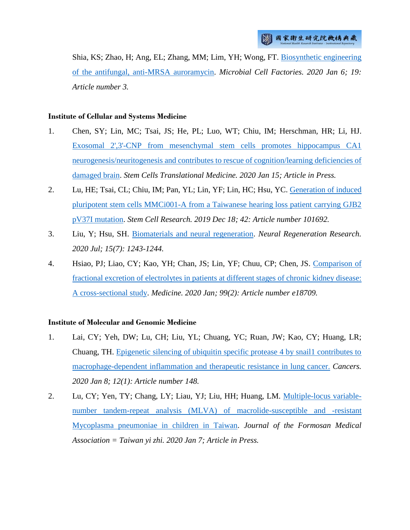Shia, KS; Zhao, H; Ang, EL; Zhang, MM; Lim, YH; Wong, FT. [Biosynthetic engineering](http://ir.nhri.org.tw/handle/3990099045/12462)  [of the antifungal, anti-MRSA auroramycin.](http://ir.nhri.org.tw/handle/3990099045/12462) *Microbial Cell Factories. 2020 Jan 6; 19: Article number 3.*

## **Institute of Cellular and Systems Medicine**

- 1. Chen, SY; Lin, MC; Tsai, JS; He, PL; Luo, WT; Chiu, IM; Herschman, HR; Li, HJ. [Exosomal 2',3'-CNP from mesenchymal stem cells promotes hippocampus CA1](http://ir.nhri.org.tw/handle/3990099045/12451)  [neurogenesis/neuritogenesis and contributes to rescue of cognition/learning deficiencies of](http://ir.nhri.org.tw/handle/3990099045/12451)  [damaged brain.](http://ir.nhri.org.tw/handle/3990099045/12451) *Stem Cells Translational Medicine. 2020 Jan 15; Article in Press.*
- 2. Lu, HE; Tsai, CL; Chiu, IM; Pan, YL; Lin, YF; Lin, HC; Hsu, YC. [Generation of induced](http://ir.nhri.org.tw/handle/3990099045/12452)  [pluripotent stem cells MMCi001-A from a Taiwanese hearing loss patient carrying GJB2](http://ir.nhri.org.tw/handle/3990099045/12452)  [pV37I mutation.](http://ir.nhri.org.tw/handle/3990099045/12452) *Stem Cell Research. 2019 Dec 18; 42: Article number 101692.*
- 3. Liu, Y; Hsu, SH. [Biomaterials and neural regeneration.](http://ir.nhri.org.tw/handle/3990099045/12492) *Neural Regeneration Research. 2020 Jul; 15(7): 1243-1244.*
- 4. Hsiao, PJ; Liao, CY; Kao, YH; Chan, JS; Lin, YF; Chuu, CP; Chen, JS. [Comparison of](http://ir.nhri.org.tw/handle/3990099045/12453)  [fractional excretion of electrolytes in patients at different stages of chronic kidney disease:](http://ir.nhri.org.tw/handle/3990099045/12453)  [A cross-sectional study.](http://ir.nhri.org.tw/handle/3990099045/12453) *Medicine. 2020 Jan; 99(2): Article number e18709.*

# **Institute of Molecular and Genomic Medicine**

- 1. Lai, CY; Yeh, DW; Lu, CH; Liu, YL; Chuang, YC; Ruan, JW; Kao, CY; Huang, LR; Chuang, TH. [Epigenetic silencing of ubiquitin specific protease 4 by snail1 contributes to](http://ir.nhri.org.tw/handle/3990099045/12450)  [macrophage-dependent inflammation and therapeutic resistance in lung cancer.](http://ir.nhri.org.tw/handle/3990099045/12450) *Cancers. 2020 Jan 8; 12(1): Article number 148.*
- 2. Lu, CY; Yen, TY; Chang, LY; Liau, YJ; Liu, HH; Huang, LM. [Multiple-locus variable](http://ir.nhri.org.tw/handle/3990099045/12439)[number tandem-repeat analysis \(MLVA\) of macrolide-susceptible and -resistant](http://ir.nhri.org.tw/handle/3990099045/12439)  [Mycoplasma pneumoniae in](http://ir.nhri.org.tw/handle/3990099045/12439) children in Taiwan. *Journal of the Formosan Medical Association = Taiwan yi zhi. 2020 Jan 7; Article in Press.*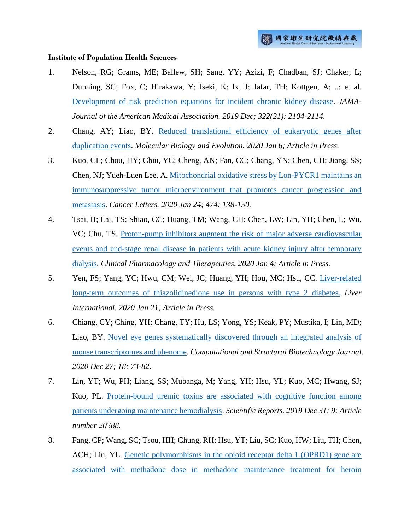#### **Institute of Population Health Sciences**

- 1. Nelson, RG; Grams, ME; Ballew, SH; Sang, YY; Azizi, F; Chadban, SJ; Chaker, L; Dunning, SC; Fox, C; Hirakawa, Y; Iseki, K; Ix, J; Jafar, TH; Kottgen, A; ..; et al. [Development of risk prediction equations for incident chronic kidney disease.](http://ir.nhri.org.tw/handle/3990099045/12466) *JAMA-Journal of the American Medical Association. 2019 Dec; 322(21): 2104-2114.*
- 2. Chang, AY; Liao, BY. [Reduced translational efficiency of eukaryotic genes after](http://ir.nhri.org.tw/handle/3990099045/12471)  [duplication events.](http://ir.nhri.org.tw/handle/3990099045/12471) *Molecular Biology and Evolution. 2020 Jan 6; Article in Press.*
- 3. Kuo, CL; Chou, HY; Chiu, YC; Cheng, AN; Fan, CC; Chang, YN; Chen, CH; Jiang, SS; Chen, NJ; Yueh-Luen Lee, A. [Mitochondrial oxidative stress by Lon-PYCR1 maintains an](http://ir.nhri.org.tw/handle/3990099045/12488)  immunosuppressive tumor [microenvironment that promotes cancer progression and](http://ir.nhri.org.tw/handle/3990099045/12488)  [metastasis.](http://ir.nhri.org.tw/handle/3990099045/12488) *Cancer Letters. 2020 Jan 24; 474: 138-150.*
- 4. Tsai, IJ; Lai, TS; Shiao, CC; Huang, TM; Wang, CH; Chen, LW; Lin, YH; Chen, L; Wu, VC; Chu, TS. [Proton-pump inhibitors augment the risk of major adverse cardiovascular](http://ir.nhri.org.tw/handle/3990099045/12496)  [events and end-stage renal disease in patients with acute kidney injury after temporary](http://ir.nhri.org.tw/handle/3990099045/12496)  [dialysis.](http://ir.nhri.org.tw/handle/3990099045/12496) *Clinical Pharmacology and Therapeutics. 2020 Jan 4; Article in Press.*
- 5. Yen, FS; Yang, YC; Hwu, CM; Wei, JC; Huang, YH; Hou, MC; Hsu, CC. [Liver-related](http://ir.nhri.org.tw/handle/3990099045/12468)  [long-term outcomes of thiazolidinedione use in persons with type 2 diabetes.](http://ir.nhri.org.tw/handle/3990099045/12468) *Liver International. 2020 Jan 21; Article in Press.*
- 6. Chiang, CY; Ching, YH; Chang, TY; Hu, LS; Yong, YS; Keak, PY; Mustika, I; Lin, MD; Liao, BY. [Novel eye genes systematically discovered through an integrated analysis of](http://ir.nhri.org.tw/handle/3990099045/12495)  [mouse transcriptomes and phenome.](http://ir.nhri.org.tw/handle/3990099045/12495) *Computational and Structural Biotechnology Journal. 2020 Dec 27; 18: 73-82.*
- 7. Lin, YT; Wu, PH; Liang, SS; Mubanga, M; Yang, YH; Hsu, YL; Kuo, MC; Hwang, SJ; Kuo, PL. [Protein-bound uremic toxins are associated with cognitive function among](http://ir.nhri.org.tw/handle/3990099045/12465)  [patients undergoing maintenance hemodialysis.](http://ir.nhri.org.tw/handle/3990099045/12465) *Scientific Reports. 2019 Dec 31; 9: Article number 20388.*
- 8. Fang, CP; Wang, SC; Tsou, HH; Chung, RH; Hsu, YT; Liu, SC; Kuo, HW; Liu, TH; Chen, ACH; Liu, YL. [Genetic polymorphisms in the opioid receptor delta 1 \(OPRD1\) gene are](http://ir.nhri.org.tw/handle/3990099045/12476)  [associated with methadone dose in methadone maintenance treatment for heroin](http://ir.nhri.org.tw/handle/3990099045/12476)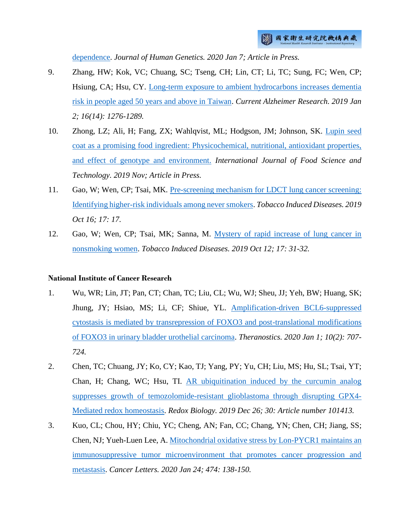[dependence.](http://ir.nhri.org.tw/handle/3990099045/12476) *Journal of Human Genetics. 2020 Jan 7; Article in Press.*

- 9. Zhang, HW; Kok, VC; Chuang, SC; Tseng, CH; Lin, CT; Li, TC; Sung, FC; Wen, CP; Hsiung, CA; Hsu, CY. [Long-term exposure to ambient hydrocarbons increases dementia](http://ir.nhri.org.tw/handle/3990099045/12467)  [risk in people aged 50 years and above in Taiwan.](http://ir.nhri.org.tw/handle/3990099045/12467) *Current Alzheimer Research. 2019 Jan 2; 16(14): 1276-1289.*
- 10. Zhong, LZ; Ali, H; Fang, ZX; Wahlqvist, ML; Hodgson, JM; Johnson, SK. [Lupin seed](http://ir.nhri.org.tw/handle/3990099045/12464)  [coat as a promising food ingredient: Physicochemical, nutritional, antioxidant properties,](http://ir.nhri.org.tw/handle/3990099045/12464)  [and effect of genotype and environment.](http://ir.nhri.org.tw/handle/3990099045/12464) *International Journal of Food Science and Technology. 2019 Nov; Article in Press.*
- 11. Gao, W; Wen, CP; Tsai, MK. [Pre-screening mechanism for LDCT lung cancer screening:](http://ir.nhri.org.tw/handle/3990099045/12469)  [Identifying higher-risk individuals among never smokers.](http://ir.nhri.org.tw/handle/3990099045/12469) *Tobacco Induced Diseases. 2019 Oct 16; 17: 17.*
- 12. Gao, W; Wen, CP; Tsai, MK; Sanna, M. [Mystery of rapid increase of lung cancer in](http://ir.nhri.org.tw/handle/3990099045/12470)  [nonsmoking women.](http://ir.nhri.org.tw/handle/3990099045/12470) *Tobacco Induced Diseases. 2019 Oct 12; 17: 31-32.*

#### **National Institute of Cancer Research**

- 1. Wu, WR; Lin, JT; Pan, CT; Chan, TC; Liu, CL; Wu, WJ; Sheu, JJ; Yeh, BW; Huang, SK; Jhung, JY; Hsiao, MS; Li, CF; Shiue, YL. [Amplification-driven BCL6-suppressed](http://ir.nhri.org.tw/handle/3990099045/12483)  [cytostasis is mediated by transrepression of FOXO3 and post-translational modifications](http://ir.nhri.org.tw/handle/3990099045/12483)  [of FOXO3 in urinary bladder urothelial carcinoma.](http://ir.nhri.org.tw/handle/3990099045/12483) *Theranostics. 2020 Jan 1; 10(2): 707- 724.*
- 2. Chen, TC; Chuang, JY; Ko, CY; Kao, TJ; Yang, PY; Yu, CH; Liu, MS; Hu, SL; Tsai, YT; Chan, H; Chang, WC; Hsu, TI. [AR ubiquitination induced by the curcumin analog](http://ir.nhri.org.tw/handle/3990099045/12446)  [suppresses growth of temozolomide-resistant glioblastoma through disrupting GPX4-](http://ir.nhri.org.tw/handle/3990099045/12446) [Mediated redox homeostasis.](http://ir.nhri.org.tw/handle/3990099045/12446) *Redox Biology. 2019 Dec 26; 30: Article number 101413.*
- 3. Kuo, CL; Chou, HY; Chiu, YC; Cheng, AN; Fan, CC; Chang, YN; Chen, CH; Jiang, SS; Chen, NJ; Yueh-Luen Lee, A. Mitochondrial oxidative [stress by Lon-PYCR1 maintains an](http://ir.nhri.org.tw/handle/3990099045/12488)  [immunosuppressive tumor microenvironment that promotes cancer progression and](http://ir.nhri.org.tw/handle/3990099045/12488)  [metastasis.](http://ir.nhri.org.tw/handle/3990099045/12488) *Cancer Letters. 2020 Jan 24; 474: 138-150.*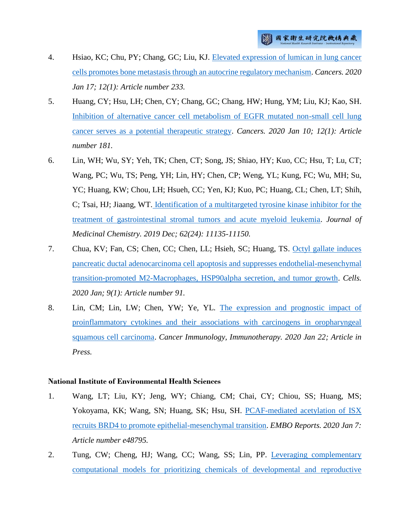- 4. Hsiao, KC; Chu, PY; Chang, GC; Liu, KJ. [Elevated expression of lumican in lung cancer](http://ir.nhri.org.tw/handle/3990099045/12486)  [cells promotes bone metastasis through an autocrine regulatory mechanism.](http://ir.nhri.org.tw/handle/3990099045/12486) *Cancers. 2020 Jan 17; 12(1): Article number 233.*
- 5. Huang, CY; Hsu, LH; Chen, CY; Chang, GC; Chang, HW; Hung, YM; Liu, KJ; Kao, SH. [Inhibition of alternative cancer cell metabolism of EGFR mutated non-small cell lung](http://ir.nhri.org.tw/handle/3990099045/12487)  [cancer serves as a potential therapeutic strategy.](http://ir.nhri.org.tw/handle/3990099045/12487) *Cancers. 2020 Jan 10; 12(1): Article number 181.*
- 6. Lin, WH; Wu, SY; Yeh, TK; Chen, CT; Song, JS; Shiao, HY; Kuo, CC; Hsu, T; Lu, CT; Wang, PC; Wu, TS; Peng, YH; Lin, HY; Chen, CP; Weng, YL; Kung, FC; Wu, MH; Su, YC; Huang, KW; Chou, LH; Hsueh, CC; Yen, KJ; Kuo, PC; Huang, CL; Chen, LT; Shih, C; Tsai, HJ; Jiaang, WT. [Identification of a multitargeted tyrosine kinase inhibitor for the](http://ir.nhri.org.tw/handle/3990099045/12442)  [treatment of gastrointestinal stromal tumors and acute myeloid leukemia.](http://ir.nhri.org.tw/handle/3990099045/12442) *Journal of Medicinal Chemistry. 2019 Dec; 62(24): 11135-11150.*
- 7. Chua, KV; Fan, CS; Chen, CC; Chen, LL; Hsieh, SC; Huang, TS. [Octyl gallate induces](http://ir.nhri.org.tw/handle/3990099045/12485)  [pancreatic ductal adenocarcinoma cell apoptosis and suppresses endothelial-mesenchymal](http://ir.nhri.org.tw/handle/3990099045/12485)  [transition-promoted M2-Macrophages, HSP90alpha secretion, and tumor growth.](http://ir.nhri.org.tw/handle/3990099045/12485) *Cells. 2020 Jan; 9(1): Article number 91.*
- 8. Lin, CM; Lin, LW; Chen, YW; Ye, YL. [The expression and prognostic impact of](http://ir.nhri.org.tw/handle/3990099045/12484)  [proinflammatory cytokines and their associations with carcinogens in oropharyngeal](http://ir.nhri.org.tw/handle/3990099045/12484)  [squamous cell carcinoma.](http://ir.nhri.org.tw/handle/3990099045/12484) *Cancer Immunology, Immunotherapy. 2020 Jan 22; Article in Press.*

#### **National Institute of Environmental Health Sciences**

- 1. Wang, LT; Liu, KY; Jeng, WY; Chiang, CM; Chai, CY; Chiou, SS; Huang, MS; Yokoyama, KK; Wang, SN; Huang, SK; Hsu, SH. [PCAF-mediated acetylation of ISX](http://ir.nhri.org.tw/handle/3990099045/12482)  [recruits BRD4 to promote epithelial-mesenchymal transition.](http://ir.nhri.org.tw/handle/3990099045/12482) *EMBO Reports. 2020 Jan 7: Article number e48795.*
- 2. Tung, CW; Cheng, HJ; Wang, CC; Wang, SS; Lin, PP. [Leveraging complementary](http://ir.nhri.org.tw/handle/3990099045/12481)  [computational models for prioritizing chemicals of developmental and reproductive](http://ir.nhri.org.tw/handle/3990099045/12481)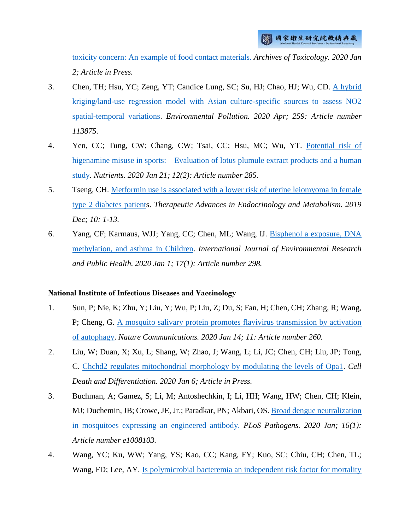[toxicity concern: An example of food contact materials.](http://ir.nhri.org.tw/handle/3990099045/12481) *Archives of Toxicology. 2020 Jan 2; Article in Press.*

- 3. Chen, TH; Hsu, YC; Zeng, YT; Candice Lung, SC; Su, HJ; Chao, HJ; Wu, CD. [A hybrid](http://ir.nhri.org.tw/handle/3990099045/12478)  [kriging/land-use regression model with Asian culture-specific sources to assess NO2](http://ir.nhri.org.tw/handle/3990099045/12478)  [spatial-temporal variations.](http://ir.nhri.org.tw/handle/3990099045/12478) *Environmental Pollution. 2020 Apr; 259: Article number 113875.*
- 4. Yen, CC; Tung, CW; Chang, CW; Tsai, CC; Hsu, MC; Wu, YT. [Potential risk of](http://ir.nhri.org.tw/handle/3990099045/12479)  [higenamine misuse in sports: Evaluation of lotus plumule extract products and a human](http://ir.nhri.org.tw/handle/3990099045/12479)  [study.](http://ir.nhri.org.tw/handle/3990099045/12479) *Nutrients. 2020 Jan 21; 12(2): Article number 285.*
- 5. Tseng, CH. [Metformin use is associated with a lower risk of uterine leiomyoma in female](http://ir.nhri.org.tw/handle/3990099045/12494)  [type 2 diabetes patients](http://ir.nhri.org.tw/handle/3990099045/12494). *Therapeutic Advances in Endocrinology and Metabolism. 2019 Dec; 10: 1-13.*
- 6. Yang, CF; Karmaus, WJJ; Yang, CC; Chen, ML; Wang, IJ. [Bisphenol a exposure, DNA](http://ir.nhri.org.tw/handle/3990099045/12480)  [methylation, and asthma in Children.](http://ir.nhri.org.tw/handle/3990099045/12480) *International Journal of Environmental Research and Public Health. 2020 Jan 1; 17(1): Article number 298.*

#### **National Institute of Infectious Diseases and Vaccinology**

- 1. Sun, P; Nie, K; Zhu, Y; Liu, Y; Wu, P; Liu, Z; Du, S; Fan, H; Chen, CH; Zhang, R; Wang, P; Cheng, G. [A mosquito salivary protein promotes flavivirus transmission by activation](http://ir.nhri.org.tw/handle/3990099045/12460)  [of autophagy.](http://ir.nhri.org.tw/handle/3990099045/12460) *Nature Communications. 2020 Jan 14; 11: Article number 260.*
- 2. Liu, W; Duan, X; Xu, L; Shang, W; Zhao, J; Wang, L; Li, JC; Chen, CH; Liu, JP; Tong, C. [Chchd2 regulates mitochondrial morphology by modulating the levels of Opa1.](http://ir.nhri.org.tw/handle/3990099045/12461) *Cell Death and Differentiation. 2020 Jan 6; Article in Press.*
- 3. Buchman, A; Gamez, S; Li, M; Antoshechkin, I; Li, HH; Wang, HW; Chen, CH; Klein, MJ; Duchemin, JB; Crowe, JE, Jr.; Paradkar, PN; Akbari, OS. [Broad dengue neutralization](http://ir.nhri.org.tw/handle/3990099045/12493)  [in mosquitoes expressing an engineered antibody.](http://ir.nhri.org.tw/handle/3990099045/12493) *PLoS Pathogens. 2020 Jan; 16(1): Article number e1008103.*
- 4. Wang, YC; Ku, WW; Yang, YS; Kao, CC; Kang, FY; Kuo, SC; Chiu, CH; Chen, TL; Wang, FD; Lee, AY. Is polymicrobial bacteremia an independent risk factor for mortality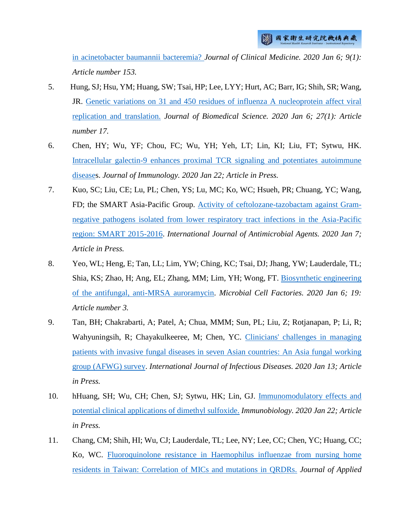[in acinetobacter baumannii bacteremia?](http://ir.nhri.org.tw/handle/3990099045/12457) *Journal of Clinical Medicine. 2020 Jan 6; 9(1): Article number 153.*

- 5. Hung, SJ; Hsu, YM; Huang, SW; Tsai, HP; Lee, LYY; Hurt, AC; Barr, IG; Shih, SR; Wang, JR. [Genetic variations on 31 and 450 residues of influenza A nucleoprotein affect viral](http://ir.nhri.org.tw/handle/3990099045/12463)  [replication and translation.](http://ir.nhri.org.tw/handle/3990099045/12463) *Journal of Biomedical Science. 2020 Jan 6; 27(1): Article number 17.*
- 6. Chen, HY; Wu, YF; Chou, FC; Wu, YH; Yeh, LT; Lin, KI; Liu, FT; Sytwu, HK. [Intracellular galectin-9 enhances proximal TCR signaling and potentiates autoimmune](http://ir.nhri.org.tw/handle/3990099045/12455)  [diseases](http://ir.nhri.org.tw/handle/3990099045/12455). *Journal of Immunology. 2020 Jan 22; Article in Press.*
- 7. Kuo, SC; Liu, CE; Lu, PL; Chen, YS; Lu, MC; Ko, WC; Hsueh, PR; Chuang, YC; Wang, FD; the SMART Asia-Pacific Group. [Activity of ceftolozane-tazobactam against Gram](http://ir.nhri.org.tw/handle/3990099045/12456)[negative pathogens isolated from lower respiratory tract infections in the Asia-Pacific](http://ir.nhri.org.tw/handle/3990099045/12456)  [region: SMART 2015-2016.](http://ir.nhri.org.tw/handle/3990099045/12456) *International Journal of Antimicrobial Agents. 2020 Jan 7; Article in Press.*
- 8. Yeo, WL; Heng, E; Tan, LL; Lim, YW; Ching, KC; Tsai, DJ; Jhang, YW; Lauderdale, TL; Shia, KS; Zhao, H; Ang, EL; Zhang, MM; Lim, YH; Wong, FT. [Biosynthetic engineering](http://ir.nhri.org.tw/handle/3990099045/12462)  [of the antifungal, anti-MRSA auroramycin.](http://ir.nhri.org.tw/handle/3990099045/12462) *Microbial Cell Factories. 2020 Jan 6; 19: Article number 3.*
- 9. Tan, BH; Chakrabarti, A; Patel, A; Chua, MMM; Sun, PL; Liu, Z; Rotjanapan, P; Li, R; Wahyuningsih, R; Chayakulkeeree, M; Chen, YC. [Clinicians' challenges in managing](http://ir.nhri.org.tw/handle/3990099045/12458)  [patients with invasive fungal diseases in seven Asian countries: An Asia fungal working](http://ir.nhri.org.tw/handle/3990099045/12458)  [group \(AFWG\) survey.](http://ir.nhri.org.tw/handle/3990099045/12458) *International Journal of Infectious Diseases. 2020 Jan 13; Article in Press.*
- 10. hHuang, SH; Wu, CH; Chen, SJ; Sytwu, HK; Lin, GJ. [Immunomodulatory effects and](ttp://ir.nhri.org.tw/handle/3990099045/12454)  potential clinical [applications of dimethyl sulfoxide.](ttp://ir.nhri.org.tw/handle/3990099045/12454) *Immunobiology. 2020 Jan 22; Article in Press.*
- 11. Chang, CM; Shih, HI; Wu, CJ; Lauderdale, TL; Lee, NY; Lee, CC; Chen, YC; Huang, CC; Ko, WC. Fluoroquinolone [resistance in Haemophilus influenzae from nursing home](http://ir.nhri.org.tw/handle/3990099045/12459)  [residents in Taiwan: Correlation of MICs and mutations in QRDRs.](http://ir.nhri.org.tw/handle/3990099045/12459) *Journal of Applied*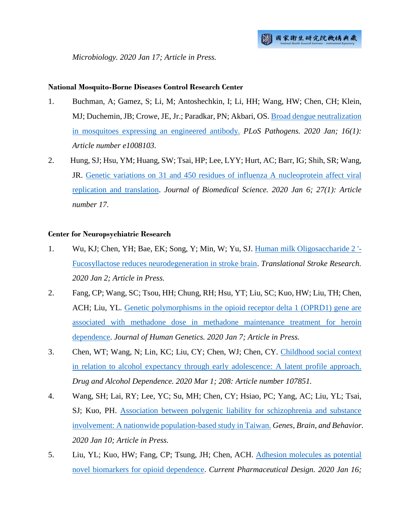*Microbiology. 2020 Jan 17; Article in Press.*

## **National Mosquito-Borne Diseases Control Research Center**

- 1. Buchman, A; Gamez, S; Li, M; Antoshechkin, I; Li, HH; Wang, HW; Chen, CH; Klein, MJ; Duchemin, JB; Crowe, JE, Jr.; Paradkar, PN; Akbari, OS. [Broad dengue neutralization](http://ir.nhri.org.tw/handle/3990099045/12493)  [in mosquitoes expressing an engineered antibody.](http://ir.nhri.org.tw/handle/3990099045/12493) *PLoS Pathogens. 2020 Jan; 16(1): Article number e1008103.*
- 2. Hung, SJ; Hsu, YM; Huang, SW; Tsai, HP; Lee, LYY; Hurt, AC; Barr, IG; Shih, SR; Wang, JR. [Genetic variations on 31 and 450 residues of influenza A nucleoprotein affect viral](http://ir.nhri.org.tw/handle/3990099045/12463)  [replication and translation.](http://ir.nhri.org.tw/handle/3990099045/12463) *Journal of Biomedical Science. 2020 Jan 6; 27(1): Article number 17.*

## **Center for Neuropsychiatric Research**

- 1. Wu, KJ; Chen, YH; Bae, EK; Song, Y; Min, W; Yu, SJ. [Human milk Oligosaccharide 2 '-](http://ir.nhri.org.tw/handle/3990099045/12475) [Fucosyllactose reduces neurodegeneration in stroke brain.](http://ir.nhri.org.tw/handle/3990099045/12475) *Translational Stroke Research. 2020 Jan 2; Article in Press.*
- 2. Fang, CP; Wang, SC; Tsou, HH; Chung, RH; Hsu, YT; Liu, SC; Kuo, HW; Liu, TH; Chen, ACH; Liu, YL. [Genetic polymorphisms in the opioid receptor delta 1 \(OPRD1\) gene are](http://ir.nhri.org.tw/handle/3990099045/12476)  [associated with methadone dose in methadone maintenance treatment for heroin](http://ir.nhri.org.tw/handle/3990099045/12476)  [dependence.](http://ir.nhri.org.tw/handle/3990099045/12476) *Journal of Human Genetics. 2020 Jan 7; Article in Press.*
- 3. Chen, WT; Wang, N; Lin, KC; Liu, CY; Chen, WJ; Chen, CY. [Childhood social context](http://ir.nhri.org.tw/handle/3990099045/12472)  in relation to alcohol expectancy [through early adolescence: A latent profile approach.](http://ir.nhri.org.tw/handle/3990099045/12472)  *Drug and Alcohol Dependence. 2020 Mar 1; 208: Article number 107851.*
- 4. Wang, SH; Lai, RY; Lee, YC; Su, MH; Chen, CY; Hsiao, PC; Yang, AC; Liu, YL; Tsai, SJ; Kuo, PH. [Association between polygenic liability for schizophrenia and substance](http://ir.nhri.org.tw/handle/3990099045/12474)  [involvement: A nationwide population-based study in Taiwan.](http://ir.nhri.org.tw/handle/3990099045/12474) *Genes, Brain, and Behavior. 2020 Jan 10; Article in Press.*
- 5. Liu, YL; Kuo, HW; Fang, CP; Tsung, JH; Chen, ACH. [Adhesion molecules as potential](http://ir.nhri.org.tw/handle/3990099045/12473)  [novel biomarkers for opioid dependence.](http://ir.nhri.org.tw/handle/3990099045/12473) *Current Pharmaceutical Design. 2020 Jan 16;*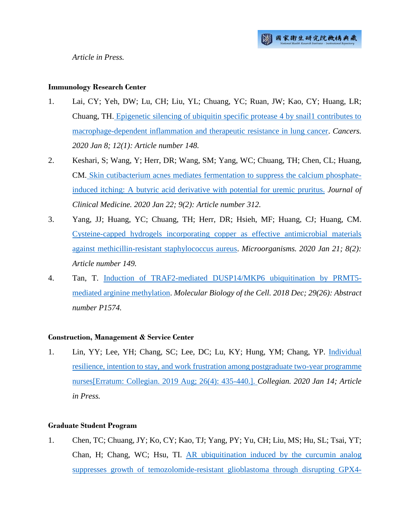#### **Immunology Research Center**

- 1. Lai, CY; Yeh, DW; Lu, CH; Liu, YL; Chuang, YC; Ruan, JW; Kao, CY; Huang, LR; Chuang, TH. [Epigenetic silencing of ubiquitin specific protease 4 by snail1 contributes to](http://ir.nhri.org.tw/handle/3990099045/12450)  [macrophage-dependent inflammation and therapeutic resistance in lung cancer.](http://ir.nhri.org.tw/handle/3990099045/12450) *Cancers. 2020 Jan 8; 12(1): Article number 148.*
- 2. Keshari, S; Wang, Y; Herr, DR; Wang, SM; Yang, WC; Chuang, TH; Chen, CL; Huang, CM. [Skin cutibacterium acnes mediates fermentation to suppress the calcium phosphate](http://ir.nhri.org.tw/handle/3990099045/12447)[induced itching: A butyric acid derivative with potential for uremic pruritus.](http://ir.nhri.org.tw/handle/3990099045/12447) *Journal of Clinical Medicine. 2020 Jan 22; 9(2): Article number 312.*
- 3. Yang, JJ; Huang, YC; Chuang, TH; Herr, DR; Hsieh, MF; Huang, CJ; Huang, CM. [Cysteine-capped hydrogels incorporating copper as effective antimicrobial materials](http://ir.nhri.org.tw/handle/3990099045/12448)  [against methicillin-resistant staphylococcus aureus.](http://ir.nhri.org.tw/handle/3990099045/12448) *Microorganisms. 2020 Jan 21; 8(2): Article number 149.*
- 4. Tan, T. Induction of TRAF2-mediated [DUSP14/MKP6 ubiquitination by PRMT5](http://ir.nhri.org.tw/handle/3990099045/12449) [mediated arginine methylation.](http://ir.nhri.org.tw/handle/3990099045/12449) *Molecular Biology of the Cell. 2018 Dec; 29(26): Abstract number P1574.*

# **Construction, Management & Service Center**

1. Lin, YY; Lee, YH; Chang, SC; Lee, DC; Lu, KY; Hung, YM; Chang, YP. [Individual](http://ir.nhri.org.tw/handle/3990099045/12477)  [resilience, intention to stay, and work frustration among postgraduate two-year programme](http://ir.nhri.org.tw/handle/3990099045/12477)  [nurses\[Erratum: Collegian. 2019 Aug; 26\(4\): 435-440.\].](http://ir.nhri.org.tw/handle/3990099045/12477) *Collegian. 2020 Jan 14; Article in Press.*

# **Graduate Student Program**

1. Chen, TC; Chuang, JY; Ko, CY; Kao, TJ; Yang, PY; Yu, CH; Liu, MS; Hu, SL; Tsai, YT; Chan, H; Chang, WC; Hsu, TI. [AR ubiquitination induced by the curcumin analog](http://ir.nhri.org.tw/handle/3990099045/12446)  [suppresses growth of temozolomide-resistant glioblastoma through disrupting GPX4-](http://ir.nhri.org.tw/handle/3990099045/12446)